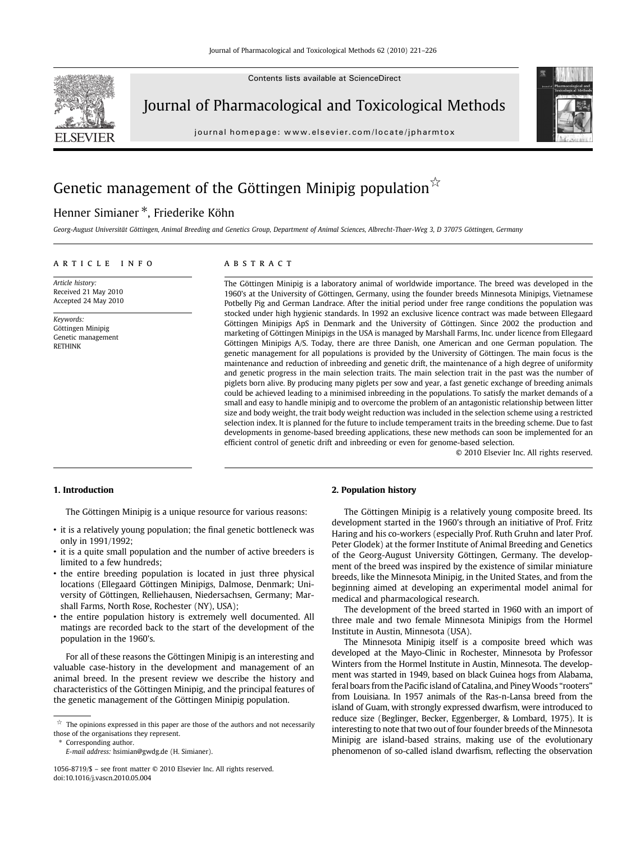Contents lists available at ScienceDirect



Journal of Pharmacological and Toxicological Methods

journal homepage: www.elsevier.com/locate/jpharmtox



# Genetic management of the Göttingen Minipig population  $\tilde{\mathbb{X}}$

## Henner Simianer \*, Friederike Köhn

Georg-August Universität Göttingen, Animal Breeding and Genetics Group, Department of Animal Sciences, Albrecht-Thaer-Weg 3, D 37075 Göttingen, Germany

#### article info abstract

Article history: Received 21 May 2010 Accepted 24 May 2010

Keywords: Göttingen Minipig Genetic management RETHINK

The Göttingen Minipig is a laboratory animal of worldwide importance. The breed was developed in the 1960's at the University of Göttingen, Germany, using the founder breeds Minnesota Minipigs, Vietnamese Potbelly Pig and German Landrace. After the initial period under free range conditions the population was stocked under high hygienic standards. In 1992 an exclusive licence contract was made between Ellegaard Göttingen Minipigs ApS in Denmark and the University of Göttingen. Since 2002 the production and marketing of Göttingen Minipigs in the USA is managed by Marshall Farms, Inc. under licence from Ellegaard Göttingen Minipigs A/S. Today, there are three Danish, one American and one German population. The genetic management for all populations is provided by the University of Göttingen. The main focus is the maintenance and reduction of inbreeding and genetic drift, the maintenance of a high degree of uniformity and genetic progress in the main selection traits. The main selection trait in the past was the number of piglets born alive. By producing many piglets per sow and year, a fast genetic exchange of breeding animals could be achieved leading to a minimised inbreeding in the populations. To satisfy the market demands of a small and easy to handle minipig and to overcome the problem of an antagonistic relationship between litter size and body weight, the trait body weight reduction was included in the selection scheme using a restricted selection index. It is planned for the future to include temperament traits in the breeding scheme. Due to fast developments in genome-based breeding applications, these new methods can soon be implemented for an efficient control of genetic drift and inbreeding or even for genome-based selection.

© 2010 Elsevier Inc. All rights reserved.

#### 1. Introduction

The Göttingen Minipig is a unique resource for various reasons:

- it is a relatively young population; the final genetic bottleneck was only in 1991/1992;
- it is a quite small population and the number of active breeders is limited to a few hundreds;
- the entire breeding population is located in just three physical locations (Ellegaard Göttingen Minipigs, Dalmose, Denmark; University of Göttingen, Relliehausen, Niedersachsen, Germany; Marshall Farms, North Rose, Rochester (NY), USA);
- the entire population history is extremely well documented. All matings are recorded back to the start of the development of the population in the 1960's.

For all of these reasons the Göttingen Minipig is an interesting and valuable case-history in the development and management of an animal breed. In the present review we describe the history and characteristics of the Göttingen Minipig, and the principal features of the genetic management of the Göttingen Minipig population.

### 2. Population history

The Göttingen Minipig is a relatively young composite breed. Its development started in the 1960's through an initiative of Prof. Fritz Haring and his co-workers (especially Prof. Ruth Gruhn and later Prof. Peter Glodek) at the former Institute of Animal Breeding and Genetics of the Georg-August University Göttingen, Germany. The development of the breed was inspired by the existence of similar miniature breeds, like the Minnesota Minipig, in the United States, and from the beginning aimed at developing an experimental model animal for medical and pharmacological research.

The development of the breed started in 1960 with an import of three male and two female Minnesota Minipigs from the Hormel Institute in Austin, Minnesota (USA).

The Minnesota Minipig itself is a composite breed which was developed at the Mayo-Clinic in Rochester, Minnesota by Professor Winters from the Hormel Institute in Austin, Minnesota. The development was started in 1949, based on black Guinea hogs from Alabama, feral boars from the Pacific island of Catalina, and Piney Woods "rooters" from Louisiana. In 1957 animals of the Ras-n-Lansa breed from the island of Guam, with strongly expressed dwarfism, were introduced to reduce size (Beglinger, Becker, Eggenberger, & Lombard, 1975). It is interesting to note that two out of four founder breeds of the Minnesota Minipig are island-based strains, making use of the evolutionary phenomenon of so-called island dwarfism, reflecting the observation

 $\overrightarrow{r}$  The opinions expressed in this paper are those of the authors and not necessarily those of the organisations they represent.

<sup>⁎</sup> Corresponding author.

E-mail address: hsimian@gwdg.de (H. Simianer).

<sup>1056-8719/\$</sup> – see front matter © 2010 Elsevier Inc. All rights reserved. doi:10.1016/j.vascn.2010.05.004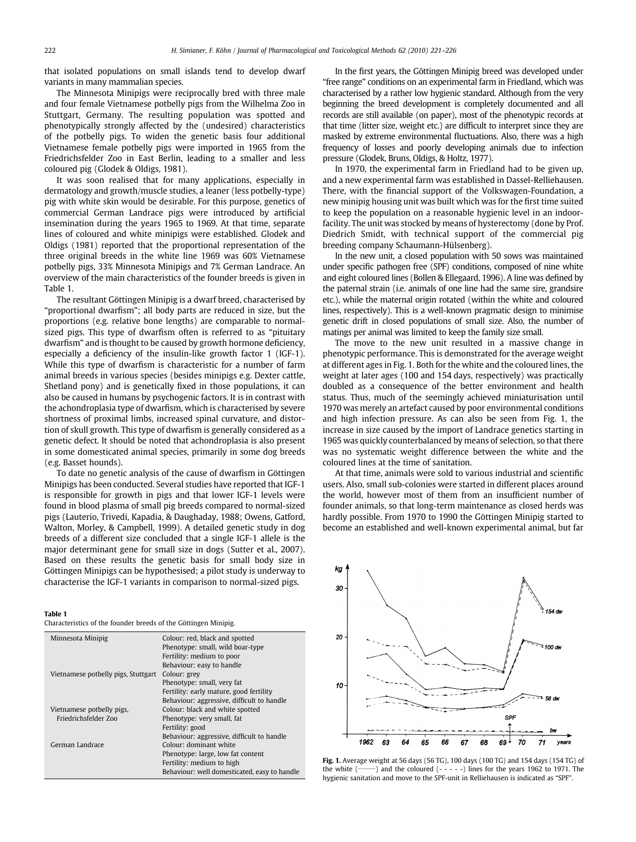that isolated populations on small islands tend to develop dwarf variants in many mammalian species.

The Minnesota Minipigs were reciprocally bred with three male and four female Vietnamese potbelly pigs from the Wilhelma Zoo in Stuttgart, Germany. The resulting population was spotted and phenotypically strongly affected by the (undesired) characteristics of the potbelly pigs. To widen the genetic basis four additional Vietnamese female potbelly pigs were imported in 1965 from the Friedrichsfelder Zoo in East Berlin, leading to a smaller and less coloured pig (Glodek & Oldigs, 1981).

It was soon realised that for many applications, especially in dermatology and growth/muscle studies, a leaner (less potbelly-type) pig with white skin would be desirable. For this purpose, genetics of commercial German Landrace pigs were introduced by artificial insemination during the years 1965 to 1969. At that time, separate lines of coloured and white minipigs were established. Glodek and Oldigs (1981) reported that the proportional representation of the three original breeds in the white line 1969 was 60% Vietnamese potbelly pigs, 33% Minnesota Minipigs and 7% German Landrace. An overview of the main characteristics of the founder breeds is given in Table 1.

The resultant Göttingen Minipig is a dwarf breed, characterised by "proportional dwarfism"; all body parts are reduced in size, but the proportions (e.g. relative bone lengths) are comparable to normalsized pigs. This type of dwarfism often is referred to as "pituitary dwarfism" and is thought to be caused by growth hormone deficiency, especially a deficiency of the insulin-like growth factor 1 (IGF-1). While this type of dwarfism is characteristic for a number of farm animal breeds in various species (besides minipigs e.g. Dexter cattle, Shetland pony) and is genetically fixed in those populations, it can also be caused in humans by psychogenic factors. It is in contrast with the achondroplasia type of dwarfism, which is characterised by severe shortness of proximal limbs, increased spinal curvature, and distortion of skull growth. This type of dwarfism is generally considered as a genetic defect. It should be noted that achondroplasia is also present in some domesticated animal species, primarily in some dog breeds (e.g. Basset hounds).

To date no genetic analysis of the cause of dwarfism in Göttingen Minipigs has been conducted. Several studies have reported that IGF-1 is responsible for growth in pigs and that lower IGF-1 levels were found in blood plasma of small pig breeds compared to normal-sized pigs (Lauterio, Trivedi, Kapadia, & Daughaday, 1988; Owens, Gatford, Walton, Morley, & Campbell, 1999). A detailed genetic study in dog breeds of a different size concluded that a single IGF-1 allele is the major determinant gene for small size in dogs (Sutter et al., 2007). Based on these results the genetic basis for small body size in Göttingen Minipigs can be hypothesised; a pilot study is underway to characterise the IGF-1 variants in comparison to normal-sized pigs.

| Table 1                                                         |  |  |
|-----------------------------------------------------------------|--|--|
| Characteristics of the founder breeds of the Göttingen Minipig. |  |  |

| Minnesota Minipig                   | Colour: red, black and spotted               |
|-------------------------------------|----------------------------------------------|
|                                     | Phenotype: small, wild boar-type             |
|                                     | Fertility: medium to poor                    |
|                                     | Behaviour: easy to handle                    |
| Vietnamese potbelly pigs, Stuttgart | Colour: grey                                 |
|                                     | Phenotype: small, very fat                   |
|                                     | Fertility: early mature, good fertility      |
|                                     | Behaviour: aggressive, difficult to handle   |
| Vietnamese potbelly pigs,           | Colour: black and white spotted              |
| Friedrichsfelder Zoo                | Phenotype: very small, fat                   |
|                                     | Fertility: good                              |
|                                     | Behaviour: aggressive, difficult to handle   |
| German Landrace                     | Colour: dominant white                       |
|                                     | Phenotype: large, low fat content            |
|                                     | Fertility: medium to high                    |
|                                     | Behaviour: well domesticated, easy to handle |

In the first years, the Göttingen Minipig breed was developed under "free range" conditions on an experimental farm in Friedland, which was characterised by a rather low hygienic standard. Although from the very beginning the breed development is completely documented and all records are still available (on paper), most of the phenotypic records at that time (litter size, weight etc.) are difficult to interpret since they are masked by extreme environmental fluctuations. Also, there was a high frequency of losses and poorly developing animals due to infection pressure (Glodek, Bruns, Oldigs, & Holtz, 1977).

In 1970, the experimental farm in Friedland had to be given up, and a new experimental farm was established in Dassel-Relliehausen. There, with the financial support of the Volkswagen-Foundation, a new minipig housing unit was built which was for the first time suited to keep the population on a reasonable hygienic level in an indoorfacility. The unit was stocked by means of hysterectomy (done by Prof. Diedrich Smidt, with technical support of the commercial pig breeding company Schaumann-Hülsenberg).

In the new unit, a closed population with 50 sows was maintained under specific pathogen free (SPF) conditions, composed of nine white and eight coloured lines (Bollen & Ellegaard, 1996). A line was defined by the paternal strain (i.e. animals of one line had the same sire, grandsire etc.), while the maternal origin rotated (within the white and coloured lines, respectively). This is a well-known pragmatic design to minimise genetic drift in closed populations of small size. Also, the number of matings per animal was limited to keep the family size small.

The move to the new unit resulted in a massive change in phenotypic performance. This is demonstrated for the average weight at different ages in Fig. 1. Both for the white and the coloured lines, the weight at later ages (100 and 154 days, respectively) was practically doubled as a consequence of the better environment and health status. Thus, much of the seemingly achieved miniaturisation until 1970 was merely an artefact caused by poor environmental conditions and high infection pressure. As can also be seen from Fig. 1, the increase in size caused by the import of Landrace genetics starting in 1965 was quickly counterbalanced by means of selection, so that there was no systematic weight difference between the white and the coloured lines at the time of sanitation.

At that time, animals were sold to various industrial and scientific users. Also, small sub-colonies were started in different places around the world, however most of them from an insufficient number of founder animals, so that long-term maintenance as closed herds was hardly possible. From 1970 to 1990 the Göttingen Minipig started to become an established and well-known experimental animal, but far



Fig. 1. Average weight at 56 days (56 TG), 100 days (100 TG) and 154 days (154 TG) of the white (\_\_\_\_\_\_\_) and the coloured (- - - - -) lines for the years 1962 to 1971. The hygienic sanitation and move to the SPF-unit in Relliehausen is indicated as "SPF".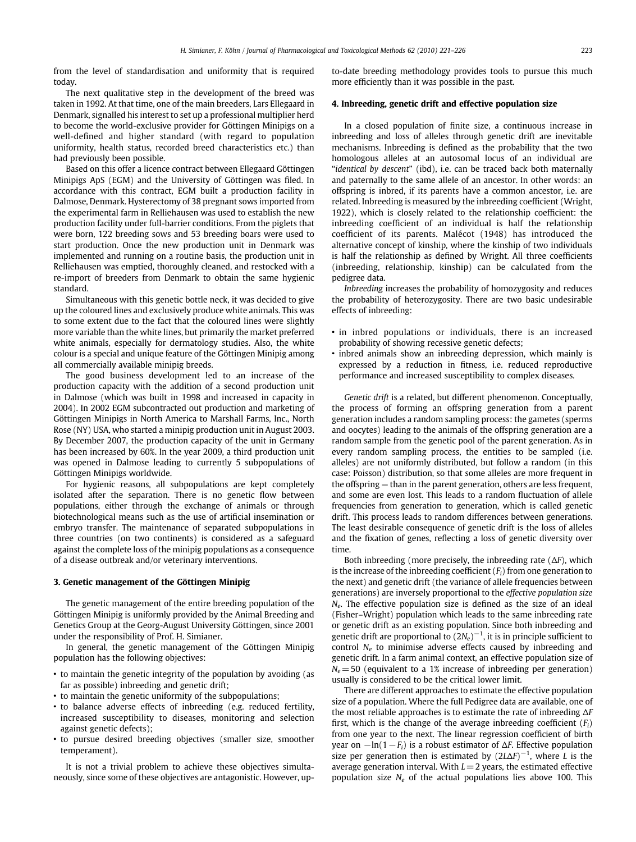from the level of standardisation and uniformity that is required today.

The next qualitative step in the development of the breed was taken in 1992. At that time, one of the main breeders, Lars Ellegaard in Denmark, signalled his interest to set up a professional multiplier herd to become the world-exclusive provider for Göttingen Minipigs on a well-defined and higher standard (with regard to population uniformity, health status, recorded breed characteristics etc.) than had previously been possible.

Based on this offer a licence contract between Ellegaard Göttingen Minipigs ApS (EGM) and the University of Göttingen was filed. In accordance with this contract, EGM built a production facility in Dalmose, Denmark. Hysterectomy of 38 pregnant sows imported from the experimental farm in Relliehausen was used to establish the new production facility under full-barrier conditions. From the piglets that were born, 122 breeding sows and 53 breeding boars were used to start production. Once the new production unit in Denmark was implemented and running on a routine basis, the production unit in Relliehausen was emptied, thoroughly cleaned, and restocked with a re-import of breeders from Denmark to obtain the same hygienic standard.

Simultaneous with this genetic bottle neck, it was decided to give up the coloured lines and exclusively produce white animals. This was to some extent due to the fact that the coloured lines were slightly more variable than the white lines, but primarily the market preferred white animals, especially for dermatology studies. Also, the white colour is a special and unique feature of the Göttingen Minipig among all commercially available minipig breeds.

The good business development led to an increase of the production capacity with the addition of a second production unit in Dalmose (which was built in 1998 and increased in capacity in 2004). In 2002 EGM subcontracted out production and marketing of Göttingen Minipigs in North America to Marshall Farms, Inc., North Rose (NY) USA, who started a minipig production unit in August 2003. By December 2007, the production capacity of the unit in Germany has been increased by 60%. In the year 2009, a third production unit was opened in Dalmose leading to currently 5 subpopulations of Göttingen Minipigs worldwide.

For hygienic reasons, all subpopulations are kept completely isolated after the separation. There is no genetic flow between populations, either through the exchange of animals or through biotechnological means such as the use of artificial insemination or embryo transfer. The maintenance of separated subpopulations in three countries (on two continents) is considered as a safeguard against the complete loss of the minipig populations as a consequence of a disease outbreak and/or veterinary interventions.

#### 3. Genetic management of the Göttingen Minipig

The genetic management of the entire breeding population of the Göttingen Minipig is uniformly provided by the Animal Breeding and Genetics Group at the Georg-August University Göttingen, since 2001 under the responsibility of Prof. H. Simianer.

In general, the genetic management of the Göttingen Minipig population has the following objectives:

- to maintain the genetic integrity of the population by avoiding (as far as possible) inbreeding and genetic drift;
- to maintain the genetic uniformity of the subpopulations;
- to balance adverse effects of inbreeding (e.g. reduced fertility, increased susceptibility to diseases, monitoring and selection against genetic defects);
- to pursue desired breeding objectives (smaller size, smoother temperament).

It is not a trivial problem to achieve these objectives simultaneously, since some of these objectives are antagonistic. However, upto-date breeding methodology provides tools to pursue this much more efficiently than it was possible in the past.

#### 4. Inbreeding, genetic drift and effective population size

In a closed population of finite size, a continuous increase in inbreeding and loss of alleles through genetic drift are inevitable mechanisms. Inbreeding is defined as the probability that the two homologous alleles at an autosomal locus of an individual are "identical by descent" (ibd), i.e. can be traced back both maternally and paternally to the same allele of an ancestor. In other words: an offspring is inbred, if its parents have a common ancestor, i.e. are related. Inbreeding is measured by the inbreeding coefficient (Wright, 1922), which is closely related to the relationship coefficient: the inbreeding coefficient of an individual is half the relationship coefficient of its parents. Malécot (1948) has introduced the alternative concept of kinship, where the kinship of two individuals is half the relationship as defined by Wright. All three coefficients (inbreeding, relationship, kinship) can be calculated from the pedigree data.

Inbreeding increases the probability of homozygosity and reduces the probability of heterozygosity. There are two basic undesirable effects of inbreeding:

- in inbred populations or individuals, there is an increased probability of showing recessive genetic defects;
- inbred animals show an inbreeding depression, which mainly is expressed by a reduction in fitness, i.e. reduced reproductive performance and increased susceptibility to complex diseases.

Genetic drift is a related, but different phenomenon. Conceptually, the process of forming an offspring generation from a parent generation includes a random sampling process: the gametes (sperms and oocytes) leading to the animals of the offspring generation are a random sample from the genetic pool of the parent generation. As in every random sampling process, the entities to be sampled (i.e. alleles) are not uniformly distributed, but follow a random (in this case: Poisson) distribution, so that some alleles are more frequent in the offspring — than in the parent generation, others are less frequent, and some are even lost. This leads to a random fluctuation of allele frequencies from generation to generation, which is called genetic drift. This process leads to random differences between generations. The least desirable consequence of genetic drift is the loss of alleles and the fixation of genes, reflecting a loss of genetic diversity over time.

Both inbreeding (more precisely, the inbreeding rate  $(\Delta F)$ , which is the increase of the inbreeding coefficient  $(F_i)$  from one generation to the next) and genetic drift (the variance of allele frequencies between generations) are inversely proportional to the effective population size  $N_e$ . The effective population size is defined as the size of an ideal (Fisher–Wright) population which leads to the same inbreeding rate or genetic drift as an existing population. Since both inbreeding and genetic drift are proportional to  $(2N_e)^{-1}$ , it is in principle sufficient to control  $N_e$  to minimise adverse effects caused by inbreeding and genetic drift. In a farm animal context, an effective population size of  $N_e$  = 50 (equivalent to a 1% increase of inbreeding per generation) usually is considered to be the critical lower limit.

There are different approaches to estimate the effective population size of a population. Where the full Pedigree data are available, one of the most reliable approaches is to estimate the rate of inbreeding  $\Delta F$ first, which is the change of the average inbreeding coefficient  $(F_i)$ from one year to the next. The linear regression coefficient of birth year on  $-\ln(1-F_i)$  is a robust estimator of ΔF. Effective population size per generation then is estimated by  $(2L\Delta F)^{-1}$ , where L is the average generation interval. With  $L=2$  years, the estimated effective population size  $N_e$  of the actual populations lies above 100. This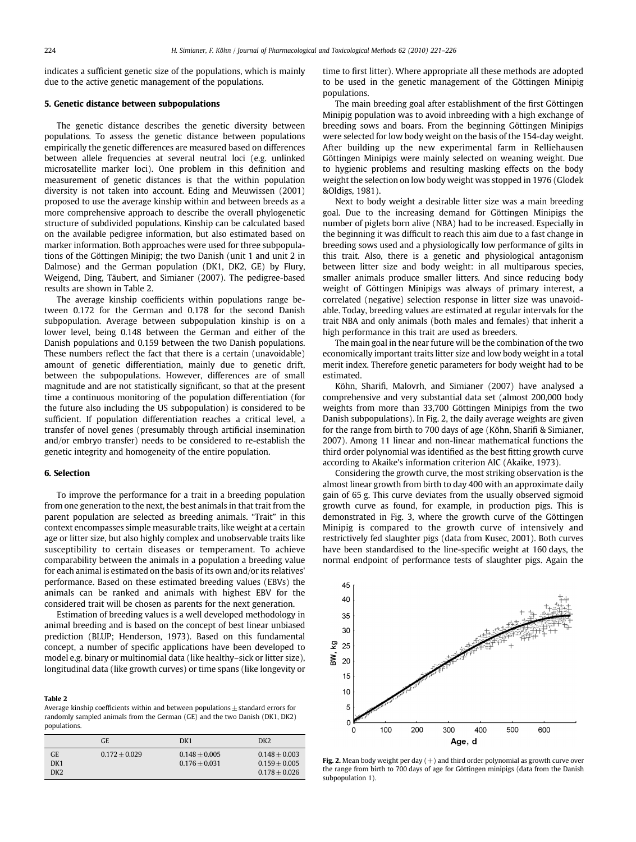indicates a sufficient genetic size of the populations, which is mainly due to the active genetic management of the populations.

#### 5. Genetic distance between subpopulations

The genetic distance describes the genetic diversity between populations. To assess the genetic distance between populations empirically the genetic differences are measured based on differences between allele frequencies at several neutral loci (e.g. unlinked microsatellite marker loci). One problem in this definition and measurement of genetic distances is that the within population diversity is not taken into account. Eding and Meuwissen (2001) proposed to use the average kinship within and between breeds as a more comprehensive approach to describe the overall phylogenetic structure of subdivided populations. Kinship can be calculated based on the available pedigree information, but also estimated based on marker information. Both approaches were used for three subpopulations of the Göttingen Minipig; the two Danish (unit 1 and unit 2 in Dalmose) and the German population (DK1, DK2, GE) by Flury, Weigend, Ding, Täubert, and Simianer (2007). The pedigree-based results are shown in Table 2.

The average kinship coefficients within populations range between 0.172 for the German and 0.178 for the second Danish subpopulation. Average between subpopulation kinship is on a lower level, being 0.148 between the German and either of the Danish populations and 0.159 between the two Danish populations. These numbers reflect the fact that there is a certain (unavoidable) amount of genetic differentiation, mainly due to genetic drift, between the subpopulations. However, differences are of small magnitude and are not statistically significant, so that at the present time a continuous monitoring of the population differentiation (for the future also including the US subpopulation) is considered to be sufficient. If population differentiation reaches a critical level, a transfer of novel genes (presumably through artificial insemination and/or embryo transfer) needs to be considered to re-establish the genetic integrity and homogeneity of the entire population.

#### 6. Selection

To improve the performance for a trait in a breeding population from one generation to the next, the best animals in that trait from the parent population are selected as breeding animals. "Trait" in this context encompasses simple measurable traits, like weight at a certain age or litter size, but also highly complex and unobservable traits like susceptibility to certain diseases or temperament. To achieve comparability between the animals in a population a breeding value for each animal is estimated on the basis of its own and/or its relatives' performance. Based on these estimated breeding values (EBVs) the animals can be ranked and animals with highest EBV for the considered trait will be chosen as parents for the next generation.

Estimation of breeding values is a well developed methodology in animal breeding and is based on the concept of best linear unbiased prediction (BLUP; Henderson, 1973). Based on this fundamental concept, a number of specific applications have been developed to model e.g. binary or multinomial data (like healthy–sick or litter size), longitudinal data (like growth curves) or time spans (like longevity or

#### Table 2

Average kinship coefficients within and between populations  $+$  standard errors for randomly sampled animals from the German (GE) and the two Danish (DK1, DK2) populations.

|                              | GE.             | DK <sub>1</sub>                    | D <sub>K2</sub>                                       |
|------------------------------|-----------------|------------------------------------|-------------------------------------------------------|
| GE<br>DK1<br>DK <sub>2</sub> | $0.172 + 0.029$ | $0.148 + 0.005$<br>$0.176 + 0.031$ | $0.148 + 0.003$<br>$0.159 + 0.005$<br>$0.178 + 0.026$ |

time to first litter). Where appropriate all these methods are adopted to be used in the genetic management of the Göttingen Minipig populations.

The main breeding goal after establishment of the first Göttingen Minipig population was to avoid inbreeding with a high exchange of breeding sows and boars. From the beginning Göttingen Minipigs were selected for low body weight on the basis of the 154-day weight. After building up the new experimental farm in Relliehausen Göttingen Minipigs were mainly selected on weaning weight. Due to hygienic problems and resulting masking effects on the body weight the selection on low body weight was stopped in 1976 (Glodek &Oldigs, 1981).

Next to body weight a desirable litter size was a main breeding goal. Due to the increasing demand for Göttingen Minipigs the number of piglets born alive (NBA) had to be increased. Especially in the beginning it was difficult to reach this aim due to a fast change in breeding sows used and a physiologically low performance of gilts in this trait. Also, there is a genetic and physiological antagonism between litter size and body weight: in all multiparous species, smaller animals produce smaller litters. And since reducing body weight of Göttingen Minipigs was always of primary interest, a correlated (negative) selection response in litter size was unavoidable. Today, breeding values are estimated at regular intervals for the trait NBA and only animals (both males and females) that inherit a high performance in this trait are used as breeders.

The main goal in the near future will be the combination of the two economically important traits litter size and low body weight in a total merit index. Therefore genetic parameters for body weight had to be estimated.

Köhn, Sharifi, Malovrh, and Simianer (2007) have analysed a comprehensive and very substantial data set (almost 200,000 body weights from more than 33,700 Göttingen Minipigs from the two Danish subpopulations). In Fig. 2, the daily average weights are given for the range from birth to 700 days of age (Köhn, Sharifi & Simianer, 2007). Among 11 linear and non-linear mathematical functions the third order polynomial was identified as the best fitting growth curve according to Akaike's information criterion AIC (Akaike, 1973).

Considering the growth curve, the most striking observation is the almost linear growth from birth to day 400 with an approximate daily gain of 65 g. This curve deviates from the usually observed sigmoid growth curve as found, for example, in production pigs. This is demonstrated in Fig. 3, where the growth curve of the Göttingen Minipig is compared to the growth curve of intensively and restrictively fed slaughter pigs (data from Kusec, 2001). Both curves have been standardised to the line-specific weight at 160 days, the normal endpoint of performance tests of slaughter pigs. Again the



Fig. 2. Mean body weight per day  $(+)$  and third order polynomial as growth curve over the range from birth to 700 days of age for Göttingen minipigs (data from the Danish subpopulation 1).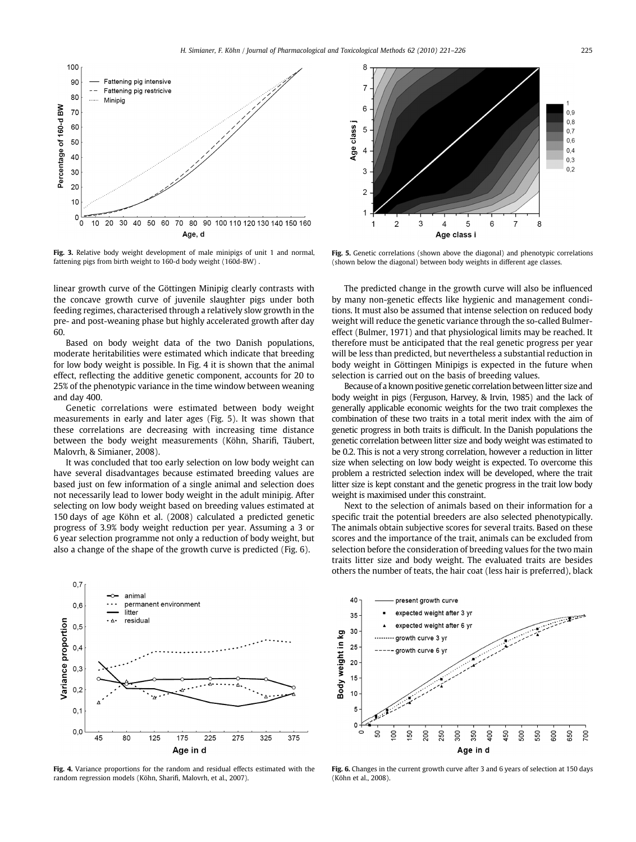

Fig. 3. Relative body weight development of male minipigs of unit 1 and normal, fattening pigs from birth weight to 160-d body weight (160d-BW) .

linear growth curve of the Göttingen Minipig clearly contrasts with the concave growth curve of juvenile slaughter pigs under both feeding regimes, characterised through a relatively slow growth in the pre- and post-weaning phase but highly accelerated growth after day 60.

Based on body weight data of the two Danish populations, moderate heritabilities were estimated which indicate that breeding for low body weight is possible. In Fig. 4 it is shown that the animal effect, reflecting the additive genetic component, accounts for 20 to 25% of the phenotypic variance in the time window between weaning and day 400.

Genetic correlations were estimated between body weight measurements in early and later ages (Fig. 5). It was shown that these correlations are decreasing with increasing time distance between the body weight measurements (Köhn, Sharifi, Täubert, Malovrh, & Simianer, 2008).

It was concluded that too early selection on low body weight can have several disadvantages because estimated breeding values are based just on few information of a single animal and selection does not necessarily lead to lower body weight in the adult minipig. After selecting on low body weight based on breeding values estimated at 150 days of age Köhn et al. (2008) calculated a predicted genetic progress of 3.9% body weight reduction per year. Assuming a 3 or 6 year selection programme not only a reduction of body weight, but also a change of the shape of the growth curve is predicted (Fig. 6).



Fig. 4. Variance proportions for the random and residual effects estimated with the random regression models (Köhn, Sharifi, Malovrh, et al., 2007).



Fig. 5. Genetic correlations (shown above the diagonal) and phenotypic correlations (shown below the diagonal) between body weights in different age classes.

The predicted change in the growth curve will also be influenced by many non-genetic effects like hygienic and management conditions. It must also be assumed that intense selection on reduced body weight will reduce the genetic variance through the so-called Bulmereffect (Bulmer, 1971) and that physiological limits may be reached. It therefore must be anticipated that the real genetic progress per year will be less than predicted, but nevertheless a substantial reduction in body weight in Göttingen Minipigs is expected in the future when selection is carried out on the basis of breeding values.

Because of a known positive genetic correlation between litter size and body weight in pigs (Ferguson, Harvey, & Irvin, 1985) and the lack of generally applicable economic weights for the two trait complexes the combination of these two traits in a total merit index with the aim of genetic progress in both traits is difficult. In the Danish populations the genetic correlation between litter size and body weight was estimated to be 0.2. This is not a very strong correlation, however a reduction in litter size when selecting on low body weight is expected. To overcome this problem a restricted selection index will be developed, where the trait litter size is kept constant and the genetic progress in the trait low body weight is maximised under this constraint.

Next to the selection of animals based on their information for a specific trait the potential breeders are also selected phenotypically. The animals obtain subjective scores for several traits. Based on these scores and the importance of the trait, animals can be excluded from selection before the consideration of breeding values for the two main traits litter size and body weight. The evaluated traits are besides others the number of teats, the hair coat (less hair is preferred), black



Fig. 6. Changes in the current growth curve after 3 and 6 years of selection at 150 days (Köhn et al., 2008).